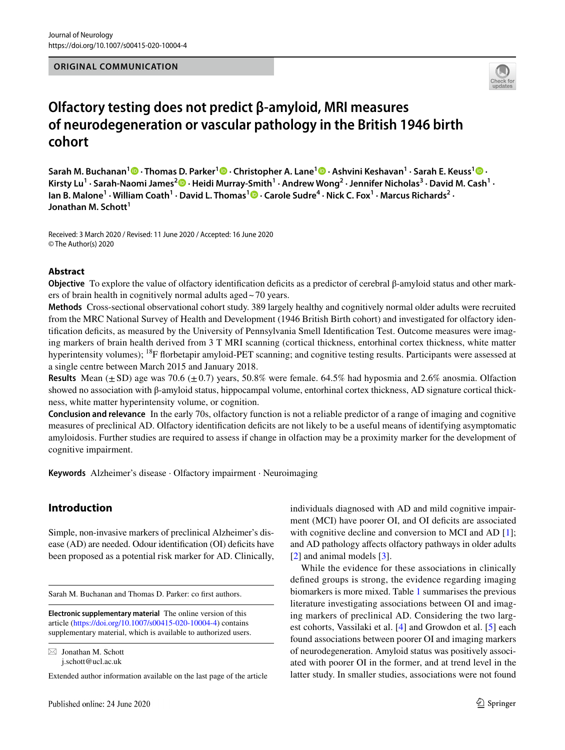#### **ORIGINAL COMMUNICATION**



# **Olfactory testing does not predict β‑amyloid, MRI measures of neurodegeneration or vascular pathology in the British 1946 birth cohort**

**Sarah M. Buchanan1 · Thomas D. Parker1  [·](http://orcid.org/0000-0001-7679-4220) Christopher A. Lane1  [·](http://orcid.org/0000-0002-1956-8064) Ashvini Keshavan1 · Sarah E. Keuss1  [·](http://orcid.org/0000-0002-7403-281X)**  KirstyLu<sup>1</sup> · Sarah-Naomi James<sup>2</sup> D · Heidi Murray-Smith<sup>1</sup> · Andrew Wong<sup>2</sup> · Jennifer Nicholas<sup>3</sup> · David M. Cash<sup>1</sup> · lanB. Malone<sup>1</sup> · William Coath<sup>1</sup> · David L. Thomas<sup>1</sup>  $\bullet$  · Carole Sudre<sup>4</sup> · Nick C. Fox<sup>1</sup> · Marcus Richards<sup>2</sup> · **Jonathan M. Schott<sup>1</sup>**

Received: 3 March 2020 / Revised: 11 June 2020 / Accepted: 16 June 2020 © The Author(s) 2020

#### **Abstract**

**Objective** To explore the value of olfactory identification deficits as a predictor of cerebral β-amyloid status and other markers of brain health in cognitively normal adults aged~70 years.

**Methods** Cross-sectional observational cohort study. 389 largely healthy and cognitively normal older adults were recruited from the MRC National Survey of Health and Development (1946 British Birth cohort) and investigated for olfactory identifcation defcits, as measured by the University of Pennsylvania Smell Identifcation Test. Outcome measures were imaging markers of brain health derived from 3 T MRI scanning (cortical thickness, entorhinal cortex thickness, white matter hyperintensity volumes); <sup>18</sup>F florbetapir amyloid-PET scanning; and cognitive testing results. Participants were assessed at a single centre between March 2015 and January 2018.

**Results** Mean  $(\pm SD)$  age was 70.6  $(\pm 0.7)$  years, 50.8% were female. 64.5% had hyposmia and 2.6% anosmia. Olfaction showed no association with β-amyloid status, hippocampal volume, entorhinal cortex thickness, AD signature cortical thickness, white matter hyperintensity volume, or cognition.

**Conclusion and relevance** In the early 70s, olfactory function is not a reliable predictor of a range of imaging and cognitive measures of preclinical AD. Olfactory identifcation defcits are not likely to be a useful means of identifying asymptomatic amyloidosis. Further studies are required to assess if change in olfaction may be a proximity marker for the development of cognitive impairment.

**Keywords** Alzheimer's disease · Olfactory impairment · Neuroimaging

# **Introduction**

Simple, non-invasive markers of preclinical Alzheimer's disease (AD) are needed. Odour identification (OI) deficits have been proposed as a potential risk marker for AD. Clinically,

Sarah M. Buchanan and Thomas D. Parker: co first authors.

 $\boxtimes$  Jonathan M. Schott j.schott@ucl.ac.uk

Extended author information available on the last page of the article

individuals diagnosed with AD and mild cognitive impairment (MCI) have poorer OI, and OI deficits are associated with cognitive decline and conversion to MCI and AD [\[1](#page-6-0)]; and AD pathology afects olfactory pathways in older adults [[2\]](#page-6-1) and animal models [\[3](#page-6-2)].

While the evidence for these associations in clinically defned groups is strong, the evidence regarding imaging biomarkers is more mixed. Table [1](#page-1-0) summarises the previous literature investigating associations between OI and imaging markers of preclinical AD. Considering the two largest cohorts, Vassilaki et al. [\[4](#page-6-3)] and Growdon et al. [[5\]](#page-6-4) each found associations between poorer OI and imaging markers of neurodegeneration. Amyloid status was positively associated with poorer OI in the former, and at trend level in the latter study. In smaller studies, associations were not found

**Electronic supplementary material** The online version of this article [\(https://doi.org/10.1007/s00415-020-10004-4\)](https://doi.org/10.1007/s00415-020-10004-4) contains supplementary material, which is available to authorized users.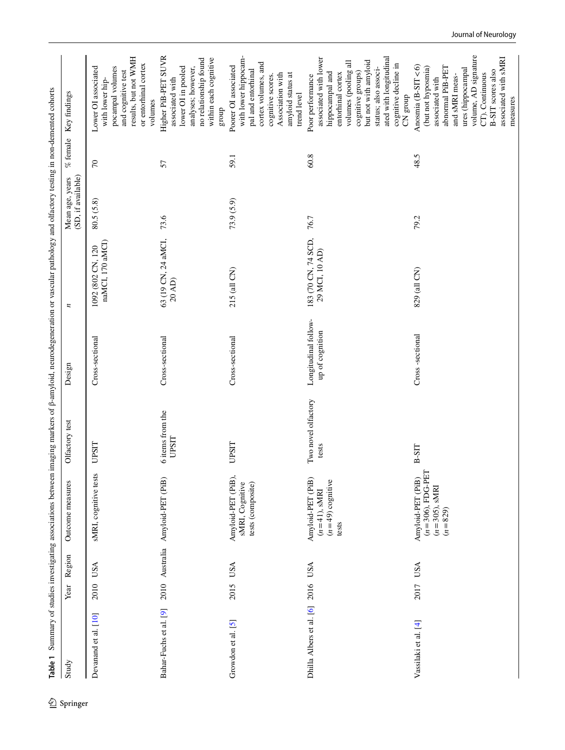<span id="page-1-0"></span>

| Study                             | Year | Region         | Outcome measures                                                          | Olfactory test                   | Design                                  | z                                     | (SD, if available)<br>Mean age, years | $\%$ female | Key findings                                                                                                                                                                                                                                 |
|-----------------------------------|------|----------------|---------------------------------------------------------------------------|----------------------------------|-----------------------------------------|---------------------------------------|---------------------------------------|-------------|----------------------------------------------------------------------------------------------------------------------------------------------------------------------------------------------------------------------------------------------|
| Devanand et al. [10]              | 2010 | <b>USA</b>     | sMRI, cognitive tests                                                     | <b>UPSIT</b>                     | Cross-sectional                         | naMCI, 170 aMCI)<br>1092 (802 CN, 120 | 80.5(5.8)                             | $\sqrt{2}$  | results, but not WMH<br>or entorhinal cortex<br>Lower OI associated<br>pocampal volumes<br>and cognitive test<br>with lower hip-<br>volumes                                                                                                  |
| Bahar-Fuchs et al. [9]            |      | 2010 Australia | Amyloid-PET (PiB)                                                         | 6 items from the<br><b>UPSIT</b> | Cross-sectional                         | 63 (19 CN, 24 aMCI,<br>$20$ AD)       | 73.6                                  | 57          | Higher PiB-PET SUVR<br>within each cognitive<br>no relationship found<br>lower OI in pooled<br>analyses; however,<br>associated with<br>group                                                                                                |
| Growdon et al. $[5]$              | 2015 | <b>USA</b>     | Amyloid-PET (PiB),<br>sMRI, Cognitive<br>tests (composite)                | <b>UPSIT</b>                     | Cross-sectional                         | 215 (all CN)                          | 73.9(5.9)                             | 59.1        | with lower hippocam-<br>cortex volumes, and<br>Poorer OI associated<br>pal and entorhinal<br>Association with<br>amyloid status at<br>cognitive scores.<br>trend level                                                                       |
| Dhilla Albers et al. [6] 2016 USA |      |                | Amyloid-PET (PiB)<br>$(n=49)$ cognitive<br>$(n=41)$ , sMRI<br>tests       | Two novel olfactory<br>tests     | Longitudinal follow-<br>up of cognition | 183 (70 CN, 74 SCD,<br>29 MCI, 10 AD) | 76.7                                  | 60.8        | ated with longitudinal<br>associated with lower<br>but not with amyloid<br>volumes (pooling all<br>cognitive decline in<br>status; also associ-<br>hippocampal and<br>cognitive groups)<br>entorhinal cortex<br>Poor performance<br>CN group |
| Vassilaki et al. [4]              | 2017 | <b>USA</b>     | $(n=306)$ , FDG-PET<br>Amyloid-PET (PiB)<br>$(n=305)$ , sMRI<br>$(n=829)$ | <b>B-SIT</b>                     | Cross-sectional                         | 829 (all CN)                          | 79.2                                  | 48.5        | volume, AD signature<br>associated with sMRI<br>Anosmia (B-SIT<6)<br>abnormal PiB-PET<br>(but not hyposmia)<br>ures (hippocampal<br>B-SIT scores also<br>CT). Continuous<br>and sMRI meas-<br>associated with                                |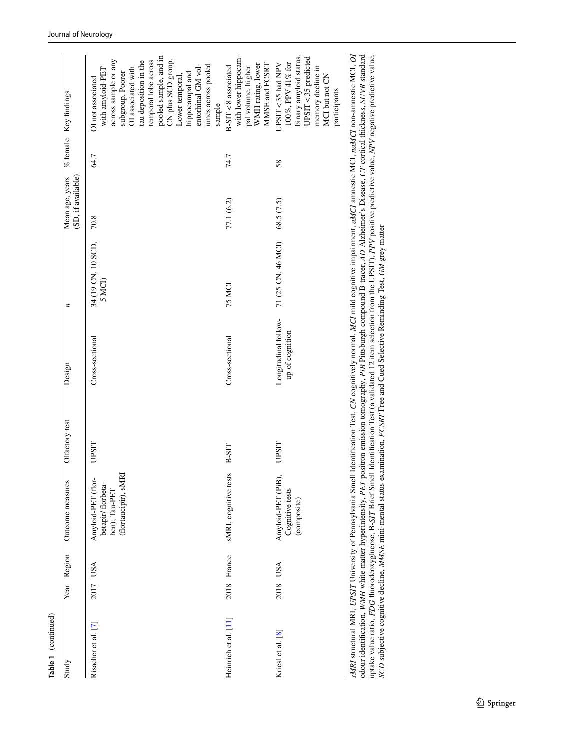| Study                | Year Region | Outcome measures                                                                  | Olfactory test                                                                                                                                                                                                  | Design                                  | n                            | (SD, if available)<br>Mean age, years |      | % female Key findings                                                                                                                                                                                                                                                                               |
|----------------------|-------------|-----------------------------------------------------------------------------------|-----------------------------------------------------------------------------------------------------------------------------------------------------------------------------------------------------------------|-----------------------------------------|------------------------------|---------------------------------------|------|-----------------------------------------------------------------------------------------------------------------------------------------------------------------------------------------------------------------------------------------------------------------------------------------------------|
| Risacher et al. [7]  | 2017 USA    | (flortaucipir), sMRI<br>Amyloid-PET (flor-<br>betapir/ florbeta-<br>ben); Tau-PET | UPSIT                                                                                                                                                                                                           | Cross-sectional                         | 34 (19 CN, 10 SCD,<br>5 MCI) | 70.8                                  | 64.7 | pooled sample, and in<br>temporal lobe across<br>CN plus SCD group.<br>across sample or any<br>tau deposition in the<br>umes across pooled<br>entorhinal GM vol-<br>OI associated with<br>with amyloid-PET<br>subgroup. Poorer<br>hippocampal and<br>Lower temporal,<br>OI not associated<br>sample |
| Heinrich et al. [11] | 2018 France | sMRI, cognitive tests                                                             | B-SIT                                                                                                                                                                                                           | Cross-sectional                         | <b>75 MCI</b>                | 77.1 (6.2)                            | 74.7 | with lower hippocam-<br>WMH rating, lower<br>MMSE and FCSRT<br>B-SIT <8 associated<br>pal volume, higher                                                                                                                                                                                            |
| Kriesl et al. [8]    | 2018 USA    | Amyloid-PET (PiB)<br>Cognitive tests<br>(composite)                               | UPSIT                                                                                                                                                                                                           | Longitudinal follow-<br>up of cognition | 71 (25 CN, 46 MCI)           | 68.5 (7.5)                            | 58   | binary amyloid status.<br>UPSIT < 35 predicted<br>100%, PPV 41% for<br>UPSIT<35 had NPV<br>memory decline in<br>MCI but not CN<br>participants                                                                                                                                                      |
|                      |             |                                                                                   | <i>sMRI</i> structural MRI. <i>UPSIT</i> University of Pennsylvania Smell Identification Test. CN cognitively normal. <i>MCI</i> mild cognitive impairment. <i>aMCI</i> ammestic MCI naMCI non-ammestic MCI. OI |                                         |                              |                                       |      |                                                                                                                                                                                                                                                                                                     |

*sMR* structural MK1, *UFS11* Unversity of Femsylvania Smell Identification 1est, CN cognitively normal, MC1 mili cognitive impartment, *atMC1* annestic MC1, *naMC1* non-amnestic MC1, *U1*<br>odour identification, *WMH* white odour identifcation, *WMH* white matter hyperintensity, *PET* positron emission tomography, *PiB* Pittsburgh compound B tracer, *AD* Alzheimer's Disease, *CT* cortical thickness, *SUVR* standard uptake value ratio, *FDG* fuorodeoxyglucose, B-*SIT* Brief Smell Identifcation Test (a validated 12 item selection from the UPSIT), *PPV* positive predictive value, *NPV* negative predictive value, sMRI structural MRI, UPSIT University of Pennsylvania Smell Identification Test, CN cognitively normal, MCI mild cognitive impairment, aMCI annestic MCI, naMCI non-annestic MCI, OI *SCD* subjective cognitive decline, *MMSE* mini-mental status examination, *FCSRT* Free and Cued Selective Reminding Test, *GM* grey matter

#### Journal of Neurology

**Table 1** (continued)

Table 1 (continued)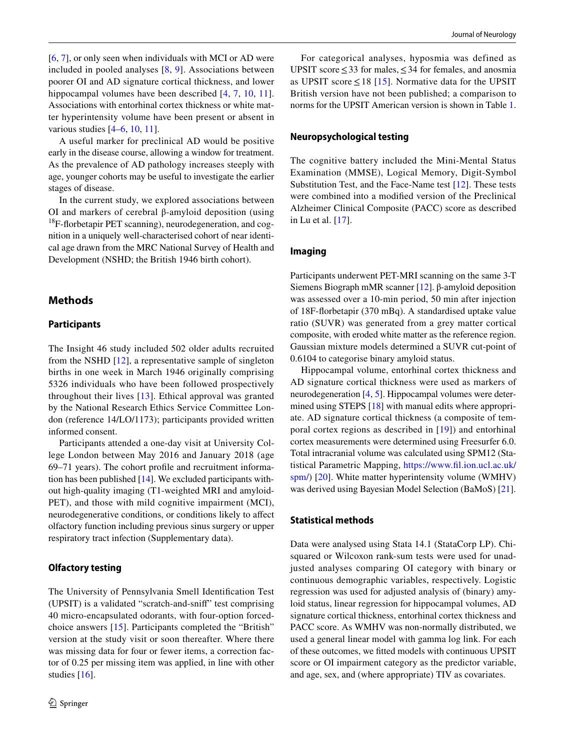[\[6](#page-6-7), [7](#page-6-8)], or only seen when individuals with MCI or AD were included in pooled analyses [[8,](#page-6-10) [9\]](#page-6-6). Associations between poorer OI and AD signature cortical thickness, and lower hippocampal volumes have been described [\[4,](#page-6-3) [7](#page-6-8), [10](#page-6-5), [11](#page-6-9)]. Associations with entorhinal cortex thickness or white matter hyperintensity volume have been present or absent in various studies [\[4](#page-6-3)[–6](#page-6-7), [10](#page-6-5), [11](#page-6-9)].

A useful marker for preclinical AD would be positive early in the disease course, allowing a window for treatment. As the prevalence of AD pathology increases steeply with age, younger cohorts may be useful to investigate the earlier stages of disease.

In the current study, we explored associations between OI and markers of cerebral β-amyloid deposition (using  $18$ F-florbetapir PET scanning), neurodegeneration, and cognition in a uniquely well-characterised cohort of near identical age drawn from the MRC National Survey of Health and Development (NSHD; the British 1946 birth cohort).

## **Methods**

#### **Participants**

The Insight 46 study included 502 older adults recruited from the NSHD [[12\]](#page-6-11), a representative sample of singleton births in one week in March 1946 originally comprising 5326 individuals who have been followed prospectively throughout their lives [[13](#page-6-12)]. Ethical approval was granted by the National Research Ethics Service Committee London (reference 14/LO/1173); participants provided written informed consent.

Participants attended a one-day visit at University College London between May 2016 and January 2018 (age 69–71 years). The cohort profle and recruitment information has been published [[14\]](#page-6-13). We excluded participants without high-quality imaging (T1-weighted MRI and amyloid-PET), and those with mild cognitive impairment (MCI), neurodegenerative conditions, or conditions likely to afect olfactory function including previous sinus surgery or upper respiratory tract infection (Supplementary data).

#### **Olfactory testing**

The University of Pennsylvania Smell Identifcation Test (UPSIT) is a validated "scratch-and-snif" test comprising 40 micro-encapsulated odorants, with four-option forcedchoice answers [[15](#page-7-0)]. Participants completed the "British" version at the study visit or soon thereafter. Where there was missing data for four or fewer items, a correction factor of 0.25 per missing item was applied, in line with other studies [[16\]](#page-7-1).

For categorical analyses, hyposmia was defined as UPSIT score  $\leq$  33 for males,  $\leq$  34 for females, and anosmia as UPSIT score  $\leq$  18 [[15](#page-7-0)]. Normative data for the UPSIT British version have not been published; a comparison to norms for the UPSIT American version is shown in Table [1.](#page-1-0)

#### **Neuropsychological testing**

The cognitive battery included the Mini-Mental Status Examination (MMSE), Logical Memory, Digit-Symbol Substitution Test, and the Face-Name test [[12](#page-6-11)]. These tests were combined into a modifed version of the Preclinical Alzheimer Clinical Composite (PACC) score as described in Lu et al. [\[17](#page-7-2)].

#### **Imaging**

Participants underwent PET-MRI scanning on the same 3-T Siemens Biograph mMR scanner [\[12](#page-6-11)]. β-amyloid deposition was assessed over a 10-min period, 50 min after injection of 18F-forbetapir (370 mBq). A standardised uptake value ratio (SUVR) was generated from a grey matter cortical composite, with eroded white matter as the reference region. Gaussian mixture models determined a SUVR cut-point of 0.6104 to categorise binary amyloid status.

Hippocampal volume, entorhinal cortex thickness and AD signature cortical thickness were used as markers of neurodegeneration [[4,](#page-6-3) [5](#page-6-4)]. Hippocampal volumes were deter-mined using STEPS [[18\]](#page-7-3) with manual edits where appropriate. AD signature cortical thickness (a composite of temporal cortex regions as described in [[19\]](#page-7-4)) and entorhinal cortex measurements were determined using Freesurfer 6.0. Total intracranial volume was calculated using SPM12 (Statistical Parametric Mapping, [https://www.fl.ion.ucl.ac.uk/](https://www.fil.ion.ucl.ac.uk/spm/) [spm/\)](https://www.fil.ion.ucl.ac.uk/spm/) [\[20\]](#page-7-5). White matter hyperintensity volume (WMHV) was derived using Bayesian Model Selection (BaMoS) [\[21](#page-7-6)].

#### **Statistical methods**

Data were analysed using Stata 14.1 (StataCorp LP). Chisquared or Wilcoxon rank-sum tests were used for unadjusted analyses comparing OI category with binary or continuous demographic variables, respectively. Logistic regression was used for adjusted analysis of (binary) amyloid status, linear regression for hippocampal volumes, AD signature cortical thickness, entorhinal cortex thickness and PACC score. As WMHV was non-normally distributed, we used a general linear model with gamma log link. For each of these outcomes, we ftted models with continuous UPSIT score or OI impairment category as the predictor variable, and age, sex, and (where appropriate) TIV as covariates.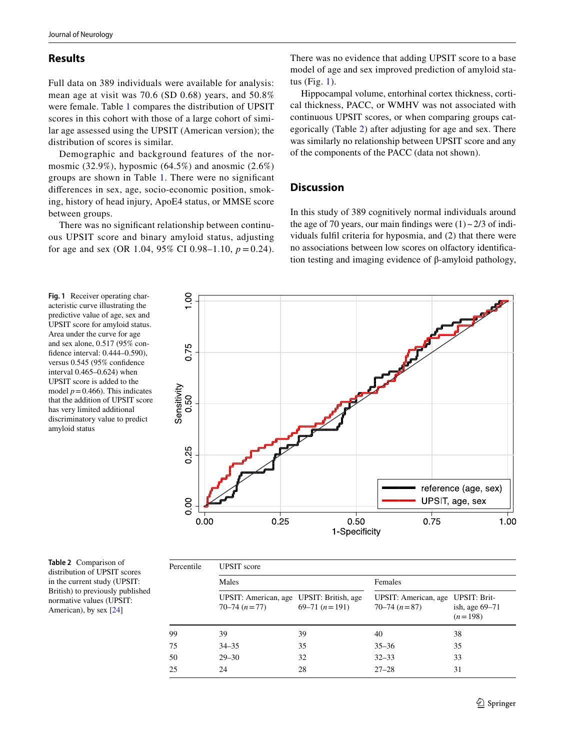### **Results**

Full data on 389 individuals were available for analysis: mean age at visit was 70.6 (SD 0.68) years, and 50.8% were female. Table [1](#page-1-0) compares the distribution of UPSIT scores in this cohort with those of a large cohort of similar age assessed using the UPSIT (American version); the distribution of scores is similar.

Demographic and background features of the normosmic (32.9%), hyposmic (64.5%) and anosmic (2.6%) groups are shown in Table [1.](#page-1-0) There were no signifcant diferences in sex, age, socio-economic position, smoking, history of head injury, ApoE4 status, or MMSE score between groups.

There was no signifcant relationship between continuous UPSIT score and binary amyloid status, adjusting for age and sex (OR 1.04, 95% CI 0.98–1.10,  $p = 0.24$ ).

There was no evidence that adding UPSIT score to a base model of age and sex improved prediction of amyloid status (Fig. [1\)](#page-4-0).

Hippocampal volume, entorhinal cortex thickness, cortical thickness, PACC, or WMHV was not associated with continuous UPSIT scores, or when comparing groups categorically (Table [2](#page-4-1)) after adjusting for age and sex. There was similarly no relationship between UPSIT score and any of the components of the PACC (data not shown).

## **Discussion**

In this study of 389 cognitively normal individuals around the age of 70 years, our main findings were  $(1) \sim 2/3$  of individuals fulfl criteria for hyposmia, and (2) that there were no associations between low scores on olfactory identifcation testing and imaging evidence of β-amyloid pathology,

<span id="page-4-0"></span>**Fig. 1** Receiver operating characteristic curve illustrating the predictive value of age, sex and UPSIT score for amyloid status. Area under the curve for age and sex alone, 0.517 (95% confdence interval: 0.444–0.590), versus 0.545 (95% confdence interval 0.465–0.624) when UPSIT score is added to the model  $p = 0.466$ ). This indicates that the addition of UPSIT score has very limited additional discriminatory value to predict amyloid status



<span id="page-4-1"></span>**Table 2** Comparison of distribution of UPSIT scores in the current study (UPSIT: British) to previously published normative values (UPSIT: American), by sex [\[24\]](#page-7-7)

| Percentile | <b>UPSIT</b> score                                               |                 |                                                           |                             |  |  |  |  |  |  |
|------------|------------------------------------------------------------------|-----------------|-----------------------------------------------------------|-----------------------------|--|--|--|--|--|--|
|            | Males                                                            |                 | Females                                                   |                             |  |  |  |  |  |  |
|            | UPSIT: American, age UPSIT: British, age<br>$70 - 74$ $(n = 77)$ | 69–71 $(n=191)$ | UPSIT: American, age UPSIT: Brit-<br>$70 - 74$ $(n = 87)$ | ish, age 69–71<br>$(n=198)$ |  |  |  |  |  |  |
| 99         | 39                                                               | 39              | 40                                                        | 38                          |  |  |  |  |  |  |
| 75         | $34 - 35$                                                        | 35              | $35 - 36$                                                 | 35                          |  |  |  |  |  |  |
| 50         | $29 - 30$                                                        | 32              | $32 - 33$                                                 | 33                          |  |  |  |  |  |  |
| 25         | 24                                                               | 28              | $27 - 28$                                                 | 31                          |  |  |  |  |  |  |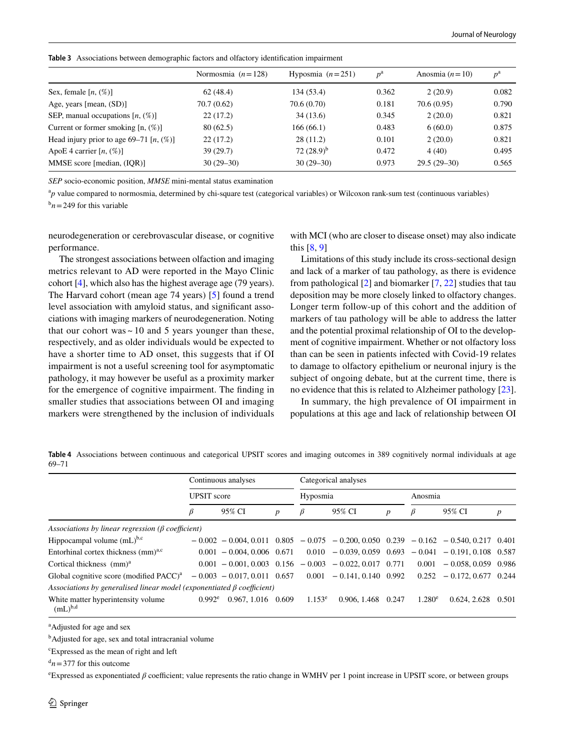<span id="page-5-0"></span>**Table 3** Associations between demographic factors and olfactory identifcation impairment

|                                            | Normosmia $(n=128)$ | Hyposmia $(n=251)$ | $p^{\rm a}$ | Anosmia $(n=10)$ | $p^{\rm a}$ |
|--------------------------------------------|---------------------|--------------------|-------------|------------------|-------------|
| Sex, female $[n, (\%)]$                    | 62(48.4)            | 134 (53.4)         | 0.362       | 2(20.9)          | 0.082       |
| Age, years [mean, $(SD)$ ]                 | 70.7 (0.62)         | 70.6 (0.70)        | 0.181       | 70.6 (0.95)      | 0.790       |
| SEP, manual occupations $[n, (\%)]$        | 22(17.2)            | 34(13.6)           | 0.345       | 2(20.0)          | 0.821       |
| Current or former smoking $[n, (\%)]$      | 80(62.5)            | 166(66.1)          | 0.483       | 6(60.0)          | 0.875       |
| Head injury prior to age 69–71 $[n, (\%)]$ | 22(17.2)            | 28(11.2)           | 0.101       | 2(20.0)          | 0.821       |
| ApoE 4 carrier $[n, (\%)]$                 | 39 (29.7)           | 72 $(28.9)^b$      | 0.472       | 4(40)            | 0.495       |
| MMSE score [median, (IOR)]                 | $30(29-30)$         | $30(29-30)$        | 0.973       | $29.5(29-30)$    | 0.565       |

*SEP* socio-economic position, *MMSE* mini-mental status examination

<sup>a</sup>p value compared to normosmia, determined by chi-square test (categorical variables) or Wilcoxon rank-sum test (continuous variables)

 $b_n$  = 249 for this variable

neurodegeneration or cerebrovascular disease, or cognitive performance.

The strongest associations between olfaction and imaging metrics relevant to AD were reported in the Mayo Clinic cohort [\[4\]](#page-6-3), which also has the highest average age (79 years). The Harvard cohort (mean age 74 years) [\[5\]](#page-6-4) found a trend level association with amyloid status, and signifcant associations with imaging markers of neurodegeneration. Noting that our cohort was  $\sim$  10 and 5 years younger than these, respectively, and as older individuals would be expected to have a shorter time to AD onset, this suggests that if OI impairment is not a useful screening tool for asymptomatic pathology, it may however be useful as a proximity marker for the emergence of cognitive impairment. The fnding in smaller studies that associations between OI and imaging markers were strengthened by the inclusion of individuals with MCI (who are closer to disease onset) may also indicate this [[8,](#page-6-10) [9\]](#page-6-6)

Limitations of this study include its cross-sectional design and lack of a marker of tau pathology, as there is evidence from pathological [[2\]](#page-6-1) and biomarker [\[7](#page-6-8), [22](#page-7-8)] studies that tau deposition may be more closely linked to olfactory changes. Longer term follow-up of this cohort and the addition of markers of tau pathology will be able to address the latter and the potential proximal relationship of OI to the development of cognitive impairment. Whether or not olfactory loss than can be seen in patients infected with Covid-19 relates to damage to olfactory epithelium or neuronal injury is the subject of ongoing debate, but at the current time, there is no evidence that this is related to Alzheimer pathology [\[23](#page-7-9)].

In summary, the high prevalence of OI impairment in populations at this age and lack of relationship between OI

<span id="page-5-1"></span>**Table 4** Associations between continuous and categorical UPSIT scores and imaging outcomes in 389 cognitively normal individuals at age 69–71

|                                                                              |                    | Continuous analyses           |   |           | Categorical analyses                                        |       |           |                                                                                               |                  |
|------------------------------------------------------------------------------|--------------------|-------------------------------|---|-----------|-------------------------------------------------------------|-------|-----------|-----------------------------------------------------------------------------------------------|------------------|
|                                                                              | <b>UPSIT</b> score |                               |   | Hyposmia  |                                                             |       | Anosmia   |                                                                                               |                  |
|                                                                              | B                  | 95% CI                        | p | β         | 95% CI                                                      | p     | Þ         | 95% CI                                                                                        | $\boldsymbol{p}$ |
| Associations by linear regression ( $\beta$ coefficient)                     |                    |                               |   |           |                                                             |       |           |                                                                                               |                  |
| Hippocampal volume $(mL)^{b,c}$                                              |                    |                               |   |           |                                                             |       |           | $-0.002 - 0.004, 0.011$ $0.805 - 0.075 - 0.200, 0.050$ $0.239 - 0.162 - 0.540, 0.217$ $0.401$ |                  |
| Entorhinal cortex thickness (mm) <sup>a,c</sup>                              |                    | $0.001 - 0.004, 0.006$ 0.671  |   |           |                                                             |       |           | $0.010 - 0.039, 0.059$ $0.693 - 0.041 - 0.191, 0.108$ 0.587                                   |                  |
| Cortical thickness $(mm)a$                                                   |                    |                               |   |           | $0.001 - 0.001, 0.003$ $0.156 - 0.003 - 0.022, 0.017$ 0.771 |       | 0.001     | $-0.058, 0.059, 0.986$                                                                        |                  |
| Global cognitive score (modified $PACC$ ) <sup>a</sup>                       |                    | $-0.003 - 0.017, 0.011$ 0.657 |   | 0.001     | $-0.141, 0.140$ 0.992                                       |       | 0.252     | $-0.172, 0.677$ 0.244                                                                         |                  |
| Associations by generalised linear model (exponentiated $\beta$ coefficient) |                    |                               |   |           |                                                             |       |           |                                                                                               |                  |
| White matter hyperintensity volume<br>$(mL)^{b,d}$                           | $0.992^e$          | $0.967, 1.016$ 0.609          |   | $1.153^e$ | 0.906, 1.468                                                | 0.247 | $1.280^e$ | 0.624, 2.628                                                                                  | 0.501            |

a Adjusted for age and sex

<sup>b</sup>Adjusted for age, sex and total intracranial volume

c Expressed as the mean of right and left

 $\sigma$ <sup>d</sup> $n = 377$  for this outcome

<sup>e</sup> Expressed as exponentiated *β* coefficient; value represents the ratio change in WMHV per 1 point increase in UPSIT score, or between groups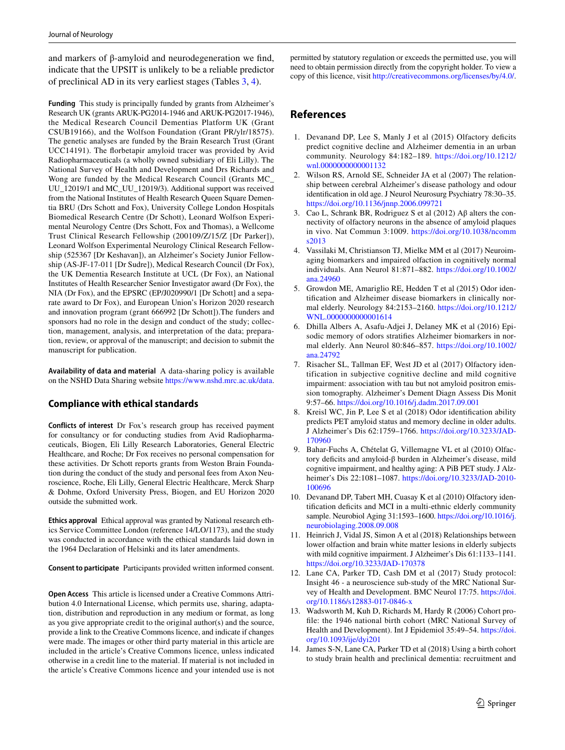and markers of β-amyloid and neurodegeneration we fnd, indicate that the UPSIT is unlikely to be a reliable predictor of preclinical AD in its very earliest stages (Tables [3,](#page-5-0) [4\)](#page-5-1).

**Funding** This study is principally funded by grants from Alzheimer's Research UK (grants ARUK-PG2014-1946 and ARUK-PG2017-1946), the Medical Research Council Dementias Platform UK (Grant CSUB19166), and the Wolfson Foundation (Grant PR/ylr/18575). The genetic analyses are funded by the Brain Research Trust (Grant UCC14191). The forbetapir amyloid tracer was provided by Avid Radiopharmaceuticals (a wholly owned subsidiary of Eli Lilly). The National Survey of Health and Development and Drs Richards and Wong are funded by the Medical Research Council (Grants MC\_ UU\_12019/1 and MC\_UU\_12019/3). Additional support was received from the National Institutes of Health Research Queen Square Dementia BRU (Drs Schott and Fox), University College London Hospitals Biomedical Research Centre (Dr Schott), Leonard Wolfson Experimental Neurology Centre (Drs Schott, Fox and Thomas), a Wellcome Trust Clinical Research Fellowship (200109/Z/15/Z [Dr Parker]), Leonard Wolfson Experimental Neurology Clinical Research Fellowship (525367 [Dr Keshavan]), an Alzheimer's Society Junior Fellowship (AS-JF-17-011 [Dr Sudre]), Medical Research Council (Dr Fox), the UK Dementia Research Institute at UCL (Dr Fox), an National Institutes of Health Researcher Senior Investigator award (Dr Fox), the NIA (Dr Fox), and the EPSRC (EP/J020990/1 [Dr Schott] and a separate award to Dr Fox), and European Union's Horizon 2020 research and innovation program (grant 666992 [Dr Schott]).The funders and sponsors had no role in the design and conduct of the study; collection, management, analysis, and interpretation of the data; preparation, review, or approval of the manuscript; and decision to submit the manuscript for publication.

**Availability of data and material** A data-sharing policy is available on the NSHD Data Sharing website<https://www.nshd.mrc.ac.uk/data>.

## **Compliance with ethical standards**

**Conflicts of interest** Dr Fox's research group has received payment for consultancy or for conducting studies from Avid Radiopharmaceuticals, Biogen, Eli Lilly Research Laboratories, General Electric Healthcare, and Roche; Dr Fox receives no personal compensation for these activities. Dr Schott reports grants from Weston Brain Foundation during the conduct of the study and personal fees from Axon Neuroscience, Roche, Eli Lilly, General Electric Healthcare, Merck Sharp & Dohme, Oxford University Press, Biogen, and EU Horizon 2020 outside the submitted work.

**Ethics approval** Ethical approval was granted by National research ethics Service Committee London (reference 14/LO/1173), and the study was conducted in accordance with the ethical standards laid down in the 1964 Declaration of Helsinki and its later amendments.

**Consent to participate** Participants provided written informed consent.

**Open Access** This article is licensed under a Creative Commons Attribution 4.0 International License, which permits use, sharing, adaptation, distribution and reproduction in any medium or format, as long as you give appropriate credit to the original author(s) and the source, provide a link to the Creative Commons licence, and indicate if changes were made. The images or other third party material in this article are included in the article's Creative Commons licence, unless indicated otherwise in a credit line to the material. If material is not included in the article's Creative Commons licence and your intended use is not

permitted by statutory regulation or exceeds the permitted use, you will need to obtain permission directly from the copyright holder. To view a copy of this licence, visit<http://creativecommons.org/licenses/by/4.0/>.

# **References**

- <span id="page-6-0"></span>1. Devanand DP, Lee S, Manly J et al (2015) Olfactory deficits predict cognitive decline and Alzheimer dementia in an urban community. Neurology 84:182–189. [https://doi.org/10.1212/](https://doi.org/10.1212/wnl.0000000000001132) [wnl.0000000000001132](https://doi.org/10.1212/wnl.0000000000001132)
- <span id="page-6-1"></span>2. Wilson RS, Arnold SE, Schneider JA et al (2007) The relationship between cerebral Alzheimer's disease pathology and odour identifcation in old age. J Neurol Neurosurg Psychiatry 78:30–35. <https://doi.org/10.1136/jnnp.2006.099721>
- <span id="page-6-2"></span>3. Cao L, Schrank BR, Rodriguez S et al (2012) Aβ alters the connectivity of olfactory neurons in the absence of amyloid plaques in vivo. Nat Commun 3:1009. [https://doi.org/10.1038/ncomm](https://doi.org/10.1038/ncomms2013) [s2013](https://doi.org/10.1038/ncomms2013)
- <span id="page-6-3"></span>4. Vassilaki M, Christianson TJ, Mielke MM et al (2017) Neuroimaging biomarkers and impaired olfaction in cognitively normal individuals. Ann Neurol 81:871–882. [https://doi.org/10.1002/](https://doi.org/10.1002/ana.24960) [ana.24960](https://doi.org/10.1002/ana.24960)
- <span id="page-6-4"></span>5. Growdon ME, Amariglio RE, Hedden T et al (2015) Odor identifcation and Alzheimer disease biomarkers in clinically normal elderly. Neurology 84:2153–2160. [https://doi.org/10.1212/](https://doi.org/10.1212/WNL.0000000000001614) [WNL.0000000000001614](https://doi.org/10.1212/WNL.0000000000001614)
- <span id="page-6-7"></span>6. Dhilla Albers A, Asafu-Adjei J, Delaney MK et al (2016) Episodic memory of odors stratifes Alzheimer biomarkers in normal elderly. Ann Neurol 80:846–857. [https://doi.org/10.1002/](https://doi.org/10.1002/ana.24792) [ana.24792](https://doi.org/10.1002/ana.24792)
- <span id="page-6-8"></span>7. Risacher SL, Tallman EF, West JD et al (2017) Olfactory identification in subjective cognitive decline and mild cognitive impairment: association with tau but not amyloid positron emission tomography. Alzheimer's Dement Diagn Assess Dis Monit 9:57–66. <https://doi.org/10.1016/j.dadm.2017.09.001>
- <span id="page-6-10"></span>8. Kreisl WC, Jin P, Lee S et al (2018) Odor identifcation ability predicts PET amyloid status and memory decline in older adults. J Alzheimer's Dis 62:1759–1766. [https://doi.org/10.3233/JAD-](https://doi.org/10.3233/JAD-170960)[170960](https://doi.org/10.3233/JAD-170960)
- <span id="page-6-6"></span>9. Bahar-Fuchs A, Chételat G, Villemagne VL et al (2010) Olfactory deficits and amyloid-β burden in Alzheimer's disease, mild cognitive impairment, and healthy aging: A PiB PET study. J Alzheimer's Dis 22:1081–1087. [https://doi.org/10.3233/JAD-2010-](https://doi.org/10.3233/JAD-2010-100696) [100696](https://doi.org/10.3233/JAD-2010-100696)
- <span id="page-6-5"></span>10. Devanand DP, Tabert MH, Cuasay K et al (2010) Olfactory identification deficits and MCI in a multi-ethnic elderly community sample. Neurobiol Aging 31:1593–1600. [https://doi.org/10.1016/j.](https://doi.org/10.1016/j.neurobiolaging.2008.09.008) [neurobiolaging.2008.09.008](https://doi.org/10.1016/j.neurobiolaging.2008.09.008)
- <span id="page-6-9"></span>11. Heinrich J, Vidal JS, Simon A et al (2018) Relationships between lower olfaction and brain white matter lesions in elderly subjects with mild cognitive impairment. J Alzheimer's Dis 61:1133–1141. <https://doi.org/10.3233/JAD-170378>
- <span id="page-6-11"></span>12. Lane CA, Parker TD, Cash DM et al (2017) Study protocol: Insight 46 - a neuroscience sub-study of the MRC National Survey of Health and Development. BMC Neurol 17:75. [https://doi.](https://doi.org/10.1186/s12883-017-0846-x) [org/10.1186/s12883-017-0846-x](https://doi.org/10.1186/s12883-017-0846-x)
- <span id="page-6-12"></span>13. Wadsworth M, Kuh D, Richards M, Hardy R (2006) Cohort profle: the 1946 national birth cohort (MRC National Survey of Health and Development). Int J Epidemiol 35:49–54. [https://doi.](https://doi.org/10.1093/ije/dyi201) [org/10.1093/ije/dyi201](https://doi.org/10.1093/ije/dyi201)
- <span id="page-6-13"></span>14. James S-N, Lane CA, Parker TD et al (2018) Using a birth cohort to study brain health and preclinical dementia: recruitment and